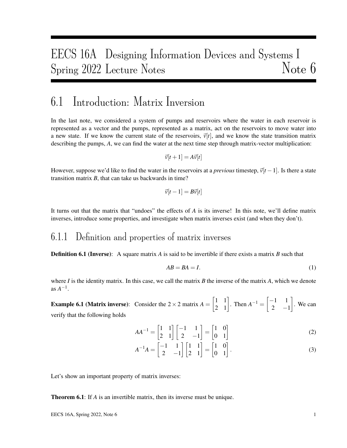# EECS 16A Designing Information Devices and Systems I Spring 2022 Lecture Notes Note 6

## 6.1 Introduction: Matrix Inversion

In the last note, we considered a system of pumps and reservoirs where the water in each reservoir is represented as a vector and the pumps, represented as a matrix, act on the reservoirs to move water into a new state. If we know the current state of the reservoirs,  $\vec{v}[t]$ , and we know the state transition matrix describing the pumps, *A*, we can find the water at the next time step through matrix-vector multiplication:

$$
\vec{v}[t+1] = A\vec{v}[t]
$$

However, suppose we'd like to find the water in the reservoirs at a *previous* timestep,  $\vec{v}[t-1]$ . Is there a state transition matrix *B*, that can take us backwards in time?

$$
\vec{v}[t-1] = B\vec{v}[t]
$$

It turns out that the matrix that "undoes" the effects of *A* is its inverse! In this note, we'll define matrix inverses, introduce some properties, and investigate when matrix inverses exist (and when they don't).

### 6.1.1 Definition and properties of matrix inverses

Definition 6.1 (Inverse): A square matrix *A* is said to be invertible if there exists a matrix *B* such that

$$
AB = BA = I.
$$
 (1)

where *I* is the identity matrix. In this case, we call the matrix *B* the inverse of the matrix *A*, which we denote  $as A^{-1}.$ 

**Example 6.1 (Matrix inverse):** Consider the 2 × 2 matrix  $A = \begin{bmatrix} 1 & 1 \\ 2 & 1 \end{bmatrix}$ . Then  $A^{-1} = \begin{bmatrix} -1 & 1 \\ 2 & -1 \end{bmatrix}$ . 2  $-1$  . We can verify that the following holds

$$
AA^{-1} = \begin{bmatrix} 1 & 1 \\ 2 & 1 \end{bmatrix} \begin{bmatrix} -1 & 1 \\ 2 & -1 \end{bmatrix} = \begin{bmatrix} 1 & 0 \\ 0 & 1 \end{bmatrix}
$$
 (2)

$$
A^{-1}A = \begin{bmatrix} -1 & 1 \\ 2 & -1 \end{bmatrix} \begin{bmatrix} 1 & 1 \\ 2 & 1 \end{bmatrix} = \begin{bmatrix} 1 & 0 \\ 0 & 1 \end{bmatrix}.
$$
 (3)

Let's show an important property of matrix inverses:

**Theorem 6.1**: If *A* is an invertible matrix, then its inverse must be unique.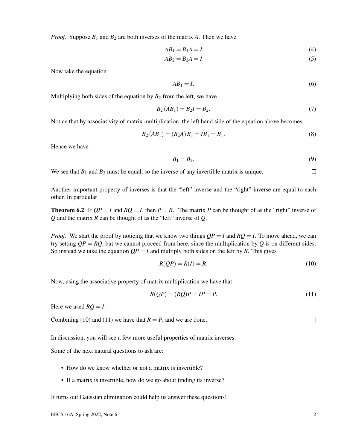*Proof.* Suppose  $B_1$  and  $B_2$  are both inverses of the matrix A. Then we have

$$
AB_1 = B_1 A = I \tag{4}
$$

$$
AB_2 = B_2A = I \tag{5}
$$

Now take the equation

$$
AB_1 = I. \tag{6}
$$

Multiplying both sides of the equation by  $B_2$  from the left, we have

$$
B_2(AB_1) = B_2I = B_2. \t\t(7)
$$

Notice that by associativity of matrix multiplication, the left hand side of the equation above becomes

$$
B_2(AB_1) = (B_2A)B_1 = IB_1 = B_1.
$$
\n(8)

Hence we have

$$
B_1 = B_2. \tag{9}
$$

We see that  $B_1$  and  $B_2$  must be equal, so the inverse of any invertible matrix is unique.  $\Box$ 

Another important property of inverses is that the "left" inverse and the "right" inverse are equal to each other. In particular

**Theorem 6.2:** If  $QP = I$  and  $RQ = I$ , then  $P = R$ . The matrix P can be thought of as the "right" inverse of *Q* and the matrix *R* can be thought of as the "left" inverse of *Q*.

*Proof.* We start the proof by noticing that we know two things  $QP = I$  and  $RQ = I$ . To move ahead, we can try setting  $QP = RQ$ , but we cannot proceed from here, since the multiplication by Q is on different sides. So instead we take the equation  $QP = I$  and multiply both sides on the left by *R*. This gives

$$
R(QP) = R(I) = R.
$$
\n<sup>(10)</sup>

Now, using the associative property of matrix multiplication we have that

$$
R(QP) = (RQ)P = IP = P.
$$
\n<sup>(11)</sup>

Here we used  $RQ = I$ .

Combining (10) and (11) we have that  $R = P$ , and we are done.

In discussion, you will see a few more useful properties of matrix inverses.

Some of the next natural questions to ask are:

- How do we know whether or not a matrix is invertible?
- If a matrix is invertible, how do we go about finding its inverse?

It turns out Gaussian elimination could help us answer these questions!

 $\Box$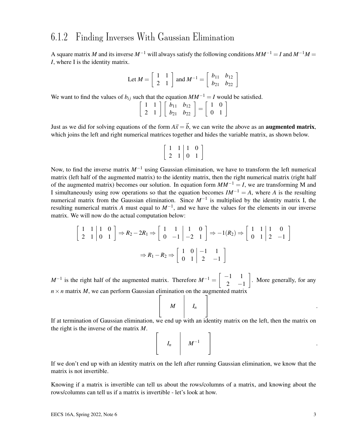### 6.1.2 Finding Inverses With Gaussian Elimination

A square matrix *M* and its inverse  $M^{-1}$  will always satisfy the following conditions  $MM^{-1} = I$  and  $M^{-1}M =$ *I*, where I is the identity matrix.

Let 
$$
M = \begin{bmatrix} 1 & 1 \\ 2 & 1 \end{bmatrix}
$$
 and  $M^{-1} = \begin{bmatrix} b_{11} & b_{12} \\ b_{21} & b_{22} \end{bmatrix}$ 

We want to find the values of  $b_{ij}$  such that the equation  $MM^{-1} = I$  would be satisfied.

$$
\left[\begin{array}{cc} 1 & 1 \\ 2 & 1 \end{array}\right] \left[\begin{array}{cc} b_{11} & b_{12} \\ b_{21} & b_{22} \end{array}\right] = \left[\begin{array}{cc} 1 & 0 \\ 0 & 1 \end{array}\right]
$$

Just as we did for solving equations of the form  $A\vec{x} = \vec{b}$ , we can write the above as an **augmented matrix**, which joins the left and right numerical matrices together and hides the variable matrix, as shown below.

$$
\left[\begin{array}{cc|c}1 & 1 & 1 & 0\\2 & 1 & 0 & 1\end{array}\right]
$$

Now, to find the inverse matrix *M*−<sup>1</sup> using Gaussian elimination, we have to transform the left numerical matrix (left half of the augmented matrix) to the identity matrix, then the right numerical matrix (right half of the augmented matrix) becomes our solution. In equation form  $MM^{-1} = I$ , we are transforming M and I simultaneously using row operations so that the equation becomes  $IM^{-1} = A$ , where *A* is the resulting numerical matrix from the Gaussian elimination. Since *M*−<sup>1</sup> is multiplied by the identity matrix I, the resulting numerical matrix *A* must equal to *M*−<sup>1</sup> , and we have the values for the elements in our inverse matrix. We will now do the actual computation below:

$$
\begin{bmatrix} 1 & 1 & 1 & 0 \ 2 & 1 & 0 & 1 \end{bmatrix} \Rightarrow R_2 - 2R_1 \Rightarrow \begin{bmatrix} 1 & 1 & 1 & 0 \ 0 & -1 & -2 & 1 \end{bmatrix} \Rightarrow -1(R_2) \Rightarrow \begin{bmatrix} 1 & 1 & 1 & 0 \ 0 & 1 & 2 & -1 \end{bmatrix}
$$

$$
\Rightarrow R_1 - R_2 \Rightarrow \begin{bmatrix} 1 & 0 & -1 & 1 \ 0 & 1 & 2 & -1 \end{bmatrix}
$$

 $M^{-1}$  is the right half of the augmented matrix. Therefore  $M^{-1} = \begin{bmatrix} -1 & 1 \\ 2 & 1 \end{bmatrix}$ 2  $-1$  . More generally, for any  $n \times n$  matrix *M*, we can perform Gaussian elimination on the augmented matrix  $\sqrt{ }$ 1

$$
\left[\begin{array}{ccc} & M & \cdots & M \end{array}\right] = \left[\begin{array}{c} I_n & & \\ & \ddots & \\ & & \ddots & \\ & & & \ddots & \\ & & & & \ddots \end{array}\right]
$$

If at termination of Gaussian elimination, we end up with an identity matrix on the left, then the matrix on the right is the inverse of the matrix *M*.

|  | $\begin{bmatrix} & & & \ & I_n & & M^{-1} & \end{bmatrix}$ |  |  |
|--|------------------------------------------------------------|--|--|
|--|------------------------------------------------------------|--|--|

If we don't end up with an identity matrix on the left after running Gaussian elimination, we know that the matrix is not invertible.

Knowing if a matrix is invertible can tell us about the rows/columns of a matrix, and knowing about the rows/columns can tell us if a matrix is invertible - let's look at how.

.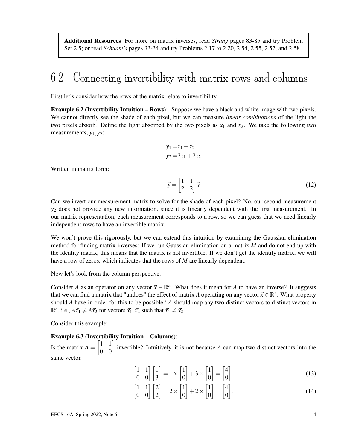Additional Resources For more on matrix inverses, read *Strang* pages 83-85 and try Problem Set 2.5; or read *Schuam's* pages 33-34 and try Problems 2.17 to 2.20, 2.54, 2.55, 2.57, and 2.58.

# 6.2 Connecting invertibility with matrix rows and columns

First let's consider how the rows of the matrix relate to invertibility.

Example 6.2 (Invertibility Intuition – Rows): Suppose we have a black and white image with two pixels. We cannot directly see the shade of each pixel, but we can measure *linear combinations* of the light the two pixels absorb. Define the light absorbed by the two pixels as  $x_1$  and  $x_2$ . We take the following two measurements, *y*1, *y*2:

$$
y_1 = x_1 + x_2
$$
  

$$
y_2 = 2x_1 + 2x_2
$$

Written in matrix form:

$$
\vec{y} = \begin{bmatrix} 1 & 1 \\ 2 & 2 \end{bmatrix} \vec{x} \tag{12}
$$

Can we invert our measurement matrix to solve for the shade of each pixel? No, our second measurement *y*<sup>2</sup> does not provide any new information, since it is linearly dependent with the first measurement. In our matrix representation, each measurement corresponds to a row, so we can guess that we need linearly independent rows to have an invertible matrix.

We won't prove this rigorously, but we can extend this intuition by examining the Gaussian elimination method for finding matrix inverses: If we run Gaussian elimination on a matrix *M* and do not end up with the identity matrix, this means that the matrix is not invertible. If we don't get the identity matrix, we will have a row of zeros, which indicates that the rows of *M* are linearly dependent.

Now let's look from the column perspective.

Consider *A* as an operator on any vector  $\vec{x} \in \mathbb{R}^n$ . What does it mean for *A* to have an inverse? It suggests that we can find a matrix that "undoes" the effect of matrix *A* operating on any vector  $\vec{x} \in \mathbb{R}^n$ . What property should *A* have in order for this to be possible? *A* should map any two distinct vectors to distinct vectors in  $\mathbb{R}^n$ , i.e.,  $A\vec{x_1} \neq A\vec{x_2}$  for vectors  $\vec{x_1}, \vec{x_2}$  such that  $\vec{x_1} \neq \vec{x_2}$ .

Consider this example:

#### Example 6.3 (Invertibility Intuition – Columns):

Is the matrix  $A = \begin{bmatrix} 1 & 1 \\ 0 & 0 \end{bmatrix}$  invertible? Intuitively, it is not because *A* can map two distinct vectors into the same vector.

$$
\begin{bmatrix} 1 & 1 \\ 0 & 0 \end{bmatrix} \begin{bmatrix} 1 \\ 3 \end{bmatrix} = 1 \times \begin{bmatrix} 1 \\ 0 \end{bmatrix} + 3 \times \begin{bmatrix} 1 \\ 0 \end{bmatrix} = \begin{bmatrix} 4 \\ 0 \end{bmatrix}
$$
 (13)

$$
\begin{bmatrix} 1 & 1 \\ 0 & 0 \end{bmatrix} \begin{bmatrix} 2 \\ 2 \end{bmatrix} = 2 \times \begin{bmatrix} 1 \\ 0 \end{bmatrix} + 2 \times \begin{bmatrix} 1 \\ 0 \end{bmatrix} = \begin{bmatrix} 4 \\ 0 \end{bmatrix}.
$$
 (14)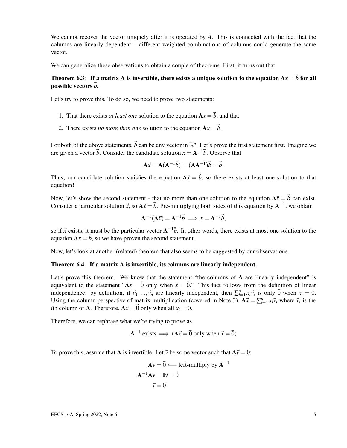We cannot recover the vector uniquely after it is operated by *A*. This is connected with the fact that the columns are linearly dependent – different weighted combinations of columns could generate the same vector.

We can generalize these observations to obtain a couple of theorems. First, it turns out that

### Theorem 6.3: If a matrix A is invertible, there exists a unique solution to the equation  $Ax = \vec{b}$  for all possible vectors  $\vec{b}$ .

Let's try to prove this. To do so, we need to prove two statements:

- 1. That there exists *at least one* solution to the equation  $A x = \vec{b}$ , and that
- 2. There exists *no more than one* solution to the equation  $A x = \vec{b}$ .

For both of the above statements,  $\vec{b}$  can be any vector in  $\mathbb{R}^n$ . Let's prove the first statement first. Imagine we are given a vector  $\vec{b}$ . Consider the candidate solution  $\vec{x} = A^{-1}\vec{b}$ . Observe that

$$
\mathbf{A}\vec{x} = \mathbf{A}(\mathbf{A}^{-1}\vec{b}) = (\mathbf{A}\mathbf{A}^{-1})\vec{b} = \vec{b}.
$$

Thus, our candidate solution satisfies the equation  $A\vec{x} = \vec{b}$ , so there exists at least one solution to that equation!

Now, let's show the second statement - that no more than one solution to the equation  $A\vec{x} = \vec{b}$  can exist. Consider a particular solution  $\vec{x}$ , so  $A\vec{x} = \vec{b}$ . Pre-multiplying both sides of this equation by  $A^{-1}$ , we obtain

$$
\mathbf{A}^{-1}(\mathbf{A}\vec{x}) = \mathbf{A}^{-1}\vec{b} \implies x = \mathbf{A}^{-1}\vec{b},
$$

so if  $\vec{x}$  exists, it must be the particular vector  $A^{-1}\vec{b}$ . In other words, there exists at most one solution to the equation  $Ax = \vec{b}$ , so we have proven the second statement.

Now, let's look at another (related) theorem that also seems to be suggested by our observations.

#### Theorem 6.4: If a matrix A is invertible, its columns are linearly independent.

Let's prove this theorem. We know that the statement "the columns of A are linearly independent" is equivalent to the statement " $A\vec{x} = \vec{0}$  only when  $\vec{x} = \vec{0}$ ." This fact follows from the definition of linear independence: by definition, if  $\vec{v}_1, ..., \vec{v}_n$  are linearly independent, then  $\sum_{i=1}^n x_i \vec{v}_i$  is only  $\vec{0}$  when  $x_i = 0$ . Using the column perspective of matrix multiplication (covered in Note 3),  $A\vec{x} = \sum_{i=1}^{n} x_i \vec{v}_i$  where  $\vec{v}_i$  is the *i*th column of **A**. Therefore,  $A\vec{x} = \vec{0}$  only when all  $x_i = 0$ .

Therefore, we can rephrase what we're trying to prove as

$$
A^{-1} \text{ exists} \implies (A\vec{x} = \vec{0} \text{ only when } \vec{x} = \vec{0})
$$

To prove this, assume that **A** is invertible. Let  $\vec{v}$  be some vector such that  $A\vec{v} = \vec{0}$ :

$$
\mathbf{A}\vec{v} = \vec{0} \longleftarrow \text{left-multiply by } \mathbf{A}^{-1}
$$

$$
\mathbf{A}^{-1}\mathbf{A}\vec{v} = \mathbf{I}\vec{v} = \vec{0}
$$

$$
\vec{v} = \vec{0}
$$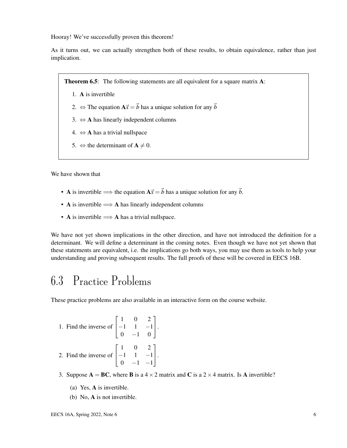Hooray! We've successfully proven this theorem!

As it turns out, we can actually strengthen both of these results, to obtain equivalence, rather than just implication.

Theorem 6.5: The following statements are all equivalent for a square matrix A:

- 1. A is invertible
- 2.  $\Leftrightarrow$  The equation  $A\vec{x} = \vec{b}$  has a unique solution for any  $\vec{b}$
- 3.  $\Leftrightarrow$  **A** has linearly independent columns
- 4.  $\Leftrightarrow$  **A** has a trivial nullspace
- 5.  $\Leftrightarrow$  the determinant of  $A \neq 0$ .

We have shown that

- A is invertible  $\implies$  the equation  $A\vec{x} = \vec{b}$  has a unique solution for any  $\vec{b}$ .
- A is invertible  $\Longrightarrow$  A has linearly independent columns
- A is invertible  $\Longrightarrow$  A has a trivial nullspace.

We have not yet shown implications in the other direction, and have not introduced the definition for a determinant. We will define a determinant in the coming notes. Even though we have not yet shown that these statements are equivalent, i.e. the implications go both ways, you may use them as tools to help your understanding and proving subsequent results. The full proofs of these will be covered in EECS 16B.

## 6.3 Practice Problems

These practice problems are also available in an interactive form on the course website.

1. Find the inverse of 
$$
\begin{bmatrix} 1 & 0 & 2 \ -1 & 1 & -1 \ 0 & -1 & 0 \end{bmatrix}.
$$
  
2. Find the inverse of 
$$
\begin{bmatrix} 1 & 0 & 2 \ -1 & 1 & -1 \ 0 & -1 & -1 \end{bmatrix}.
$$

- 3. Suppose  $A = BC$ , where **B** is a  $4 \times 2$  matrix and **C** is a  $2 \times 4$  matrix. Is A invertible?
	- (a) Yes, A is invertible.
	- (b) No, A is not invertible.